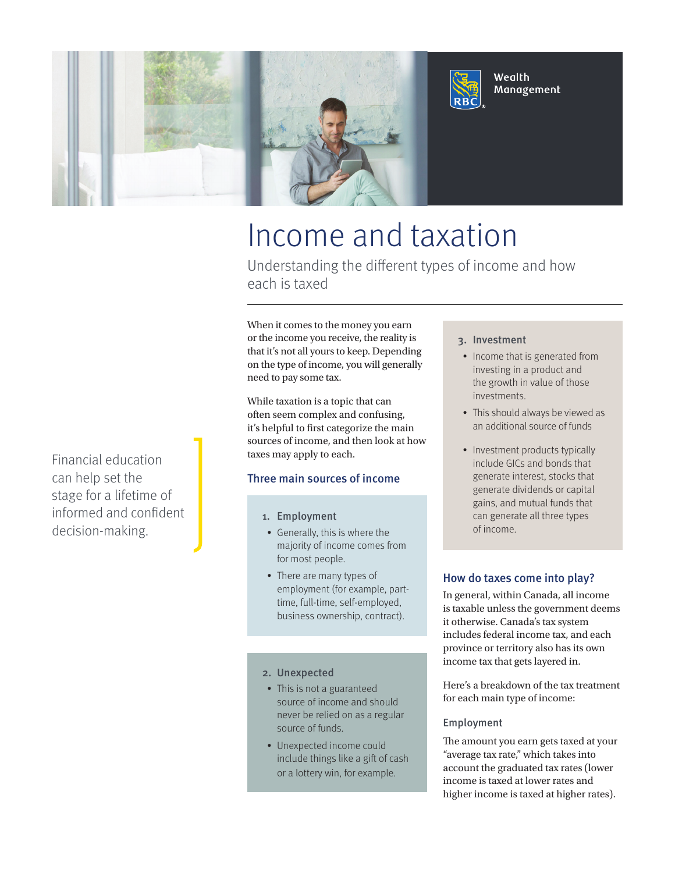

# Income and taxation

Understanding the different types of income and how each is taxed

When it comes to the money you earn or the income you receive, the reality is that it's not all yours to keep. Depending on the type of income, you will generally need to pay some tax.

While taxation is a topic that can often seem complex and confusing, it's helpful to first categorize the main sources of income, and then look at how taxes may apply to each.

# Three main sources of income

- 1. Employment
- Generally, this is where the majority of income comes from for most people.
- There are many types of employment (for example, parttime, full-time, self-employed, business ownership, contract).

## 2. Unexpected

- This is not a guaranteed source of income and should never be relied on as a regular source of funds.
- Unexpected income could include things like a gift of cash or a lottery win, for example.

## 3. Investment

- Income that is generated from investing in a product and the growth in value of those investments.
- This should always be viewed as an additional source of funds
- Investment products typically include GICs and bonds that generate interest, stocks that generate dividends or capital gains, and mutual funds that can generate all three types of income.

## How do taxes come into play?

In general, within Canada, all income is taxable unless the government deems it otherwise. Canada's tax system includes federal income tax, and each province or territory also has its own income tax that gets layered in.

Here's a breakdown of the tax treatment for each main type of income:

#### Employment

The amount you earn gets taxed at your "average tax rate," which takes into account the graduated tax rates (lower income is taxed at lower rates and higher income is taxed at higher rates).

Financial education can help set the stage for a lifetime of informed and confident decision-making.